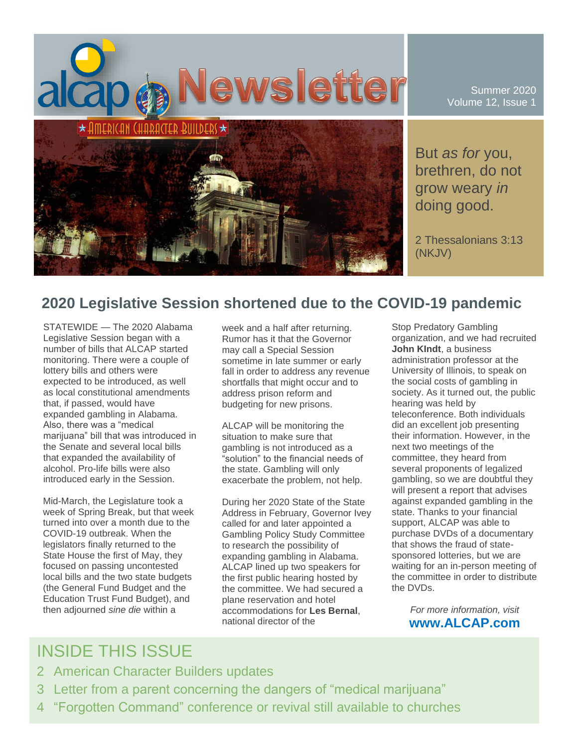

Summer 2020 Volume 12, Issue 1

But *as for* you, brethren, do not grow weary *in* doing good.

2 Thessalonians 3:13 (NKJV)

### **2020 Legislative Session shortened due to the COVID-19 pandemic**

STATEWIDE — The 2020 Alabama Legislative Session began with a number of bills that ALCAP started monitoring. There were a couple of lottery bills and others were expected to be introduced, as well as local constitutional amendments that, if passed, would have expanded gambling in Alabama. Also, there was a "medical marijuana" bill that was introduced in the Senate and several local bills that expanded the availability of alcohol. Pro-life bills were also introduced early in the Session.

Mid-March, the Legislature took a week of Spring Break, but that week turned into over a month due to the COVID-19 outbreak. When the legislators finally returned to the State House the first of May, they focused on passing uncontested local bills and the two state budgets (the General Fund Budget and the Education Trust Fund Budget), and then adjourned *sine die* within a

week and a half after returning. Rumor has it that the Governor may call a Special Session sometime in late summer or early fall in order to address any revenue shortfalls that might occur and to address prison reform and budgeting for new prisons.

ALCAP will be monitoring the situation to make sure that gambling is not introduced as a "solution" to the financial needs of the state. Gambling will only exacerbate the problem, not help.

During her 2020 State of the State Address in February, Governor Ivey called for and later appointed a Gambling Policy Study Committee to research the possibility of expanding gambling in Alabama. ALCAP lined up two speakers for the first public hearing hosted by the committee. We had secured a plane reservation and hotel accommodations for **Les Bernal**, national director of the

Stop Predatory Gambling organization, and we had recruited **John KIndt**, a business administration professor at the University of Illinois, to speak on the social costs of gambling in society. As it turned out, the public hearing was held by teleconference. Both individuals did an excellent job presenting their information. However, in the next two meetings of the committee, they heard from several proponents of legalized gambling, so we are doubtful they will present a report that advises against expanded gambling in the state. Thanks to your financial support, ALCAP was able to purchase DVDs of a documentary that shows the fraud of statesponsored lotteries, but we are waiting for an in-person meeting of the committee in order to distribute the DVDs.

> *For more information, visit* **www.ALCAP.com**

# INSIDE THIS ISSUE

- 2 American Character Builders updates
- 3 Letter from a parent concerning the dangers of "medical marijuana"
- 4 "Forgotten Command" conference or revival still available to churches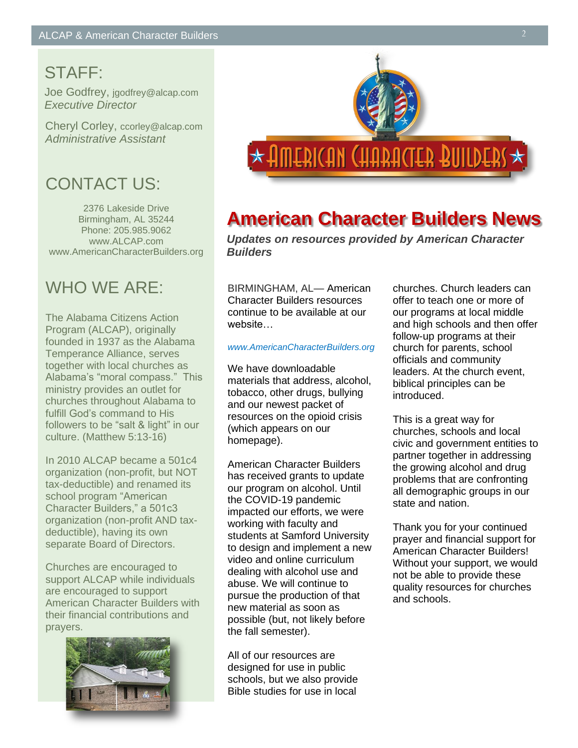# STAFF:

Joe Godfrey, jgodfrey@alcap.com *Executive Director*

Cheryl Corley, ccorley@alcap.com *Administrative Assistant*

# CONTACT US:

2376 Lakeside Drive Birmingham, AL 35244 Phone: 205.985.9062 www.ALCAP.com www.AmericanCharacterBuilders.org

# WHO WF ARF<sup>-</sup>

The Alabama Citizens Action Program (ALCAP), originally founded in 1937 as the Alabama Temperance Alliance, serves together with local churches as Alabama's "moral compass." This ministry provides an outlet for churches throughout Alabama to fulfill God's command to His followers to be "salt & light" in our culture. (Matthew 5:13-16)

In 2010 ALCAP became a 501c4 organization (non-profit, but NOT tax-deductible) and renamed its school program "American Character Builders," a 501c3 organization (non-profit AND taxdeductible), having its own separate Board of Directors.

Churches are encouraged to support ALCAP while individuals are encouraged to support American Character Builders with their financial contributions and prayers.





# **American Character Builders News**

*Updates on resources provided by American Character Builders*

BIRMINGHAM, AL— American Character Builders resources continue to be available at our website…

### *www.AmericanCharacterBuilders.org*

We have downloadable materials that address, alcohol, tobacco, other drugs, bullying and our newest packet of resources on the opioid crisis (which appears on our homepage).

American Character Builders has received grants to update our program on alcohol. Until the COVID-19 pandemic impacted our efforts, we were working with faculty and students at Samford University to design and implement a new video and online curriculum dealing with alcohol use and abuse. We will continue to pursue the production of that new material as soon as possible (but, not likely before the fall semester).

All of our resources are designed for use in public schools, but we also provide Bible studies for use in local

churches. Church leaders can offer to teach one or more of our programs at local middle and high schools and then offer follow-up programs at their church for parents, school officials and community leaders. At the church event, biblical principles can be introduced.

This is a great way for churches, schools and local civic and government entities to partner together in addressing the growing alcohol and drug problems that are confronting all demographic groups in our state and nation.

Thank you for your continued prayer and financial support for American Character Builders! Without your support, we would not be able to provide these quality resources for churches and schools.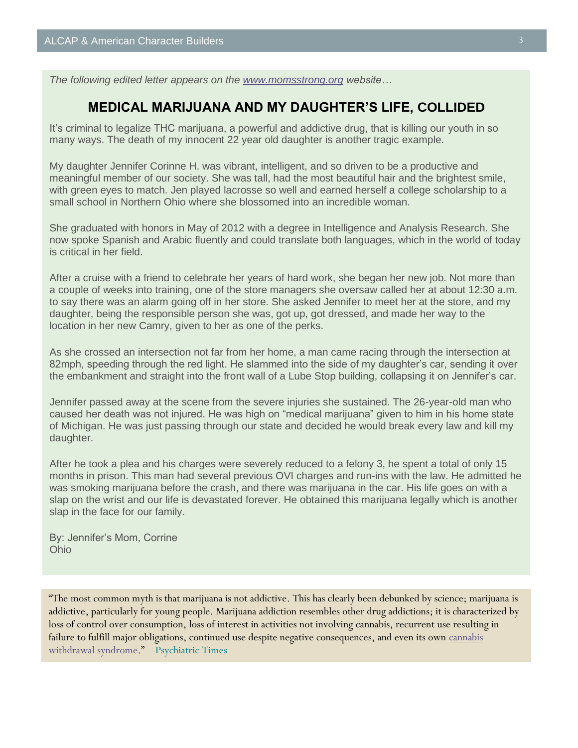*The following edited letter appears on the [www.momsstrong.org](http://www.momsstrong.org/) website…*

### **MEDICAL MARIJUANA AND MY DAUGHTER'S LIFE, COLLIDED**

It's criminal to legalize THC marijuana, a powerful and addictive drug, that is killing our youth in so many ways. The death of my innocent 22 year old daughter is another tragic example.

My daughter Jennifer Corinne H. was vibrant, intelligent, and so driven to be a productive and meaningful member of our society. She was tall, had the most beautiful hair and the brightest smile, with green eyes to match. Jen played lacrosse so well and earned herself a college scholarship to a small school in Northern Ohio where she blossomed into an incredible woman.

She graduated with honors in May of 2012 with a degree in Intelligence and Analysis Research. She now spoke Spanish and Arabic fluently and could translate both languages, which in the world of today is critical in her field.

After a cruise with a friend to celebrate her years of hard work, she began her new job. Not more than a couple of weeks into training, one of the store managers she oversaw called her at about 12:30 a.m. to say there was an alarm going off in her store. She asked Jennifer to meet her at the store, and my daughter, being the responsible person she was, got up, got dressed, and made her way to the location in her new Camry, given to her as one of the perks.

As she crossed an intersection not far from her home, a man came racing through the intersection at 82mph, speeding through the red light. He slammed into the side of my daughter's car, sending it over the embankment and straight into the front wall of a Lube Stop building, collapsing it on Jennifer's car.

Jennifer passed away at the scene from the severe injuries she sustained. The 26-year-old man who caused her death was not injured. He was high on "medical marijuana" given to him in his home state of Michigan. He was just passing through our state and decided he would break every law and kill my daughter.

After he took a plea and his charges were severely reduced to a felony 3, he spent a total of only 15 months in prison. This man had several previous OVI charges and run-ins with the law. He admitted he was smoking marijuana before the crash, and there was marijuana in the car. His life goes on with a slap on the wrist and our life is devastated forever. He obtained this marijuana legally which is another slap in the face for our family.

By: Jennifer's Mom, Corrine Ohio

"The most common myth is that marijuana is not addictive. This has clearly been debunked by science; marijuana is addictive, particularly for young people. Marijuana addiction resembles other drug addictions; it is characterized by loss of control over consumption, loss of interest in activities not involving cannabis, recurrent use resulting in failure to fulfill major obligations, continued use despite negative consequences, and even its own cannabis [withdrawal syndrome](https://jamanetwork.com/journals/jamanetworkopen/article-abstract/2764234)." – [Psychiatric Times](https://poppot.us12.list-manage.com/track/click?u=94c2581ebf9fe4ad4163293e8&id=738a24e1c2&e=e863435819)